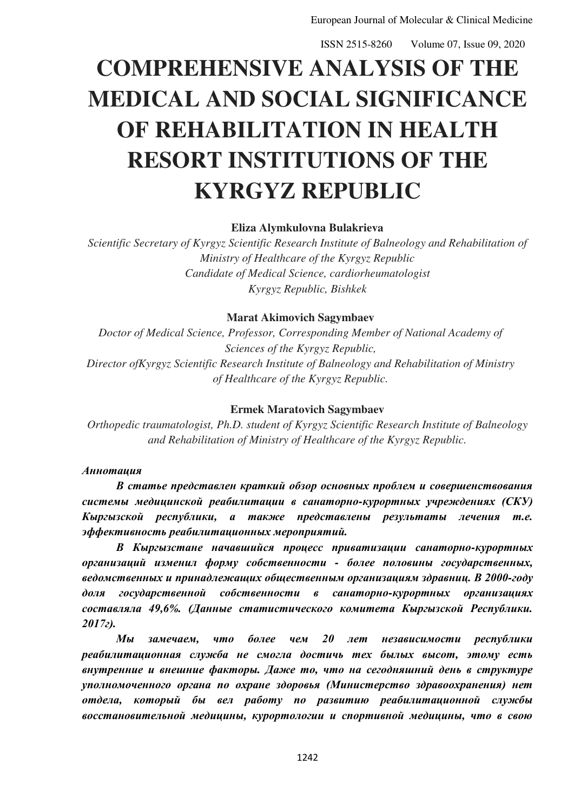# **COMPREHENSIVE ANALYSIS OF THE MEDICAL AND SOCIAL SIGNIFICANCE OF REHABILITATION IN HEALTH RESORT INSTITUTIONS OF THE KYRGYZ REPUBLIC**

## **Eliza Alymkulovna Bulakrieva**

*Scientific Secretary of Kyrgyz Scientific Research Institute of Balneology and Rehabilitation of Ministry of Healthcare of the Kyrgyz Republic Candidate of Medical Science, cardiorheumatologist Kyrgyz Republic, Bishkek*

## **Marat Akimovich Sagymbaev**

*Doctor of Medical Science, Professor, Corresponding Member of National Academy of Sciences of the Kyrgyz Republic, Director ofKyrgyz Scientific Research Institute of Balneology and Rehabilitation of Ministry of Healthcare of the Kyrgyz Republic.* 

#### **Ermek Maratovich Sagymbaev**

*Orthopedic traumatologist, Ph.D. student of Kyrgyz Scientific Research Institute of Balneology and Rehabilitation of Ministry of Healthcare of the Kyrgyz Republic.*

#### *Аннотация*

*В статье представлен краткий обзор основных проблем и совершенствования системы медицинской реабилитации в санаторно-курортных учреждениях (СКУ) Кыргызской республики, а также представлены результаты лечения т.е. эффективность реабилитационных мероприятий.*

*В Кыргызстане начавшийся процесс приватизации санаторно-курортных организаций изменил форму собственности - более половины государственных, ведомственных и принадлежащих общественным организациям здравниц. В 2000-году доля государственной собственности в санаторно-курортных организациях составляла 49,6%. (Данные статистического комитета Кыргызской Республики. 2017г).* 

*Мы замечаем, что более чем 20 лет независимости республики реабилитационная служба не смогла достичь тех былых высот, этому есть внутренние и внешние факторы. Даже то, что на сегодняшний день в структуре уполномоченного органа по охране здоровья (Министерство здравоохранения) нет отдела, который бы вел работу по развитию реабилитационной службы восстановительной медицины, курортологии и спортивной медицины, что в свою*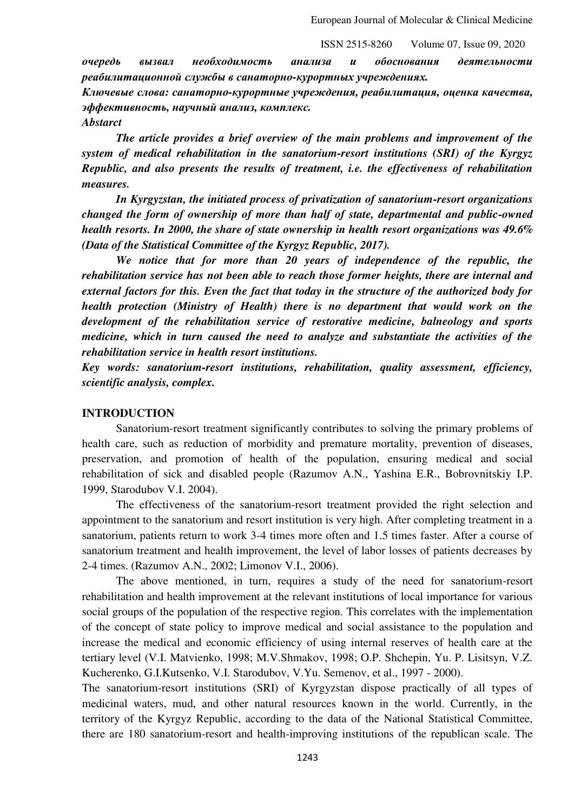*очередь вызвал необходимость анализа и обоснования деятельности реабилитационной службы в санаторно-курортных учреждениях.*

*Ключевые слова: санаторно-курортные учреждения, реабилитация, оценка качества, эффективность, научный анализ, комплекс.*

*Abstarct* 

*The article provides a brief overview of the main problems and improvement of the system of medical rehabilitation in the sanatorium-resort institutions (SRI) of the Kyrgyz Republic, and also presents the results of treatment, i.e. the effectiveness of rehabilitation measures.* 

*In Kyrgyzstan, the initiated process of privatization of sanatorium-resort organizations changed the form of ownership of more than half of state, departmental and public-owned health resorts. In 2000, the share of state ownership in health resort organizations was 49.6% (Data of the Statistical Committee of the Kyrgyz Republic, 2017).* 

*We notice that for more than 20 years of independence of the republic, the rehabilitation service has not been able to reach those former heights, there are internal and external factors for this. Even the fact that today in the structure of the authorized body for health protection (Ministry of Health) there is no department that would work on the development of the rehabilitation service of restorative medicine, balneology and sports medicine, which in turn caused the need to analyze and substantiate the activities of the rehabilitation service in health resort institutions.* 

*Key words: sanatorium-resort institutions, rehabilitation, quality assessment, efficiency, scientific analysis, complex.* 

#### **INTRODUCTION**

Sanatorium-resort treatment significantly contributes to solving the primary problems of health care, such as reduction of morbidity and premature mortality, prevention of diseases, preservation, and promotion of health of the population, ensuring medical and social rehabilitation of sick and disabled people (Razumov A.N., Yashina E.R., Bobrovnitskiy I.P. 1999, Starodubov V.I. 2004).

The effectiveness of the sanatorium-resort treatment provided the right selection and appointment to the sanatorium and resort institution is very high. After completing treatment in a sanatorium, patients return to work 3-4 times more often and 1.5 times faster. After a course of sanatorium treatment and health improvement, the level of labor losses of patients decreases by 2-4 times. (Razumov A.N., 2002; Limonov V.I., 2006).

The above mentioned, in turn, requires a study of the need for sanatorium-resort rehabilitation and health improvement at the relevant institutions of local importance for various social groups of the population of the respective region. This correlates with the implementation of the concept of state policy to improve medical and social assistance to the population and increase the medical and economic efficiency of using internal reserves of health care at the tertiary level (V.I. Matvienko, 1998; M.V.Shmakov, 1998; O.P. Shchepin, Yu. P. Lisitsyn, V.Z. Kucherenko, G.I.Kutsenko, V.I. Starodubov, V.Yu. Semenov, et al., 1997 - 2000).

The sanatorium-resort institutions (SRI) of Kyrgyzstan dispose practically of all types of medicinal waters, mud, and other natural resources known in the world. Currently, in the territory of the Kyrgyz Republic, according to the data of the National Statistical Committee, there are 180 sanatorium-resort and health-improving institutions of the republican scale. The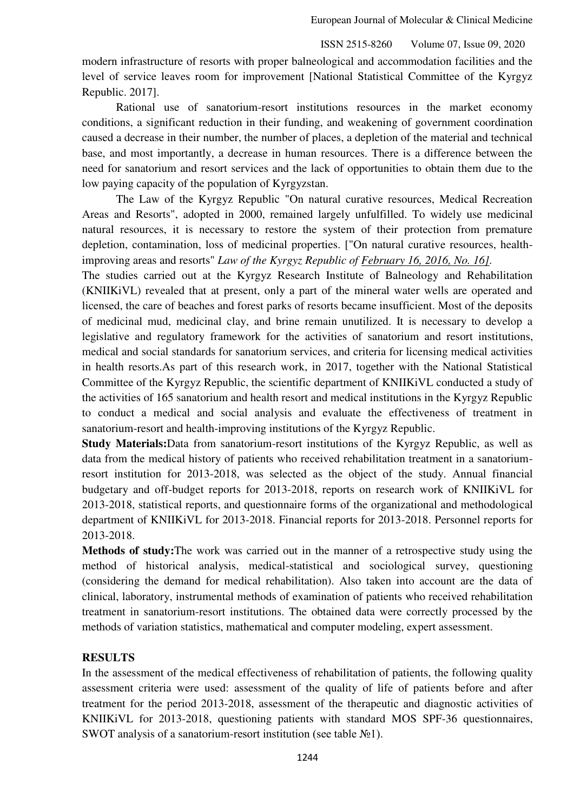modern infrastructure of resorts with proper balneological and accommodation facilities and the level of service leaves room for improvement [National Statistical Committee of the Kyrgyz Republic. 2017].

Rational use of sanatorium-resort institutions resources in the market economy conditions, a significant reduction in their funding, and weakening of government coordination caused a decrease in their number, the number of places, a depletion of the material and technical base, and most importantly, a decrease in human resources. There is a difference between the need for sanatorium and resort services and the lack of opportunities to obtain them due to the low paying capacity of the population of Kyrgyzstan.

The Law of the Kyrgyz Republic "On natural curative resources, Medical Recreation Areas and Resorts", adopted in 2000, remained largely unfulfilled. To widely use medicinal natural resources, it is necessary to restore the system of their protection from premature depletion, contamination, loss of medicinal properties. ["On natural curative resources, healthimproving areas and resorts" *Law of the Kyrgyz Republic of February 16, 2016, No. 16].* 

The studies carried out at the Kyrgyz Research Institute of Balneology and Rehabilitation (KNIIKiVL) revealed that at present, only a part of the mineral water wells are operated and licensed, the care of beaches and forest parks of resorts became insufficient. Most of the deposits of medicinal mud, medicinal clay, and brine remain unutilized. It is necessary to develop a legislative and regulatory framework for the activities of sanatorium and resort institutions, medical and social standards for sanatorium services, and criteria for licensing medical activities in health resorts.As part of this research work, in 2017, together with the National Statistical Committee of the Kyrgyz Republic, the scientific department of KNIIKiVL conducted a study of the activities of 165 sanatorium and health resort and medical institutions in the Kyrgyz Republic to conduct a medical and social analysis and evaluate the effectiveness of treatment in sanatorium-resort and health-improving institutions of the Kyrgyz Republic.

**Study Materials:**Data from sanatorium-resort institutions of the Kyrgyz Republic, as well as data from the medical history of patients who received rehabilitation treatment in a sanatoriumresort institution for 2013-2018, was selected as the object of the study. Annual financial budgetary and off-budget reports for 2013-2018, reports on research work of KNIIKiVL for 2013-2018, statistical reports, and questionnaire forms of the organizational and methodological department of KNIIKiVL for 2013-2018. Financial reports for 2013-2018. Personnel reports for 2013-2018.

**Methods of study:**The work was carried out in the manner of a retrospective study using the method of historical analysis, medical-statistical and sociological survey, questioning (considering the demand for medical rehabilitation). Also taken into account are the data of clinical, laboratory, instrumental methods of examination of patients who received rehabilitation treatment in sanatorium-resort institutions. The obtained data were correctly processed by the methods of variation statistics, mathematical and computer modeling, expert assessment.

# **RESULTS**

In the assessment of the medical effectiveness of rehabilitation of patients, the following quality assessment criteria were used: assessment of the quality of life of patients before and after treatment for the period 2013-2018, assessment of the therapeutic and diagnostic activities of KNIIKiVL for 2013-2018, questioning patients with standard MOS SPF-36 questionnaires, SWOT analysis of a sanatorium-resort institution (see table №1).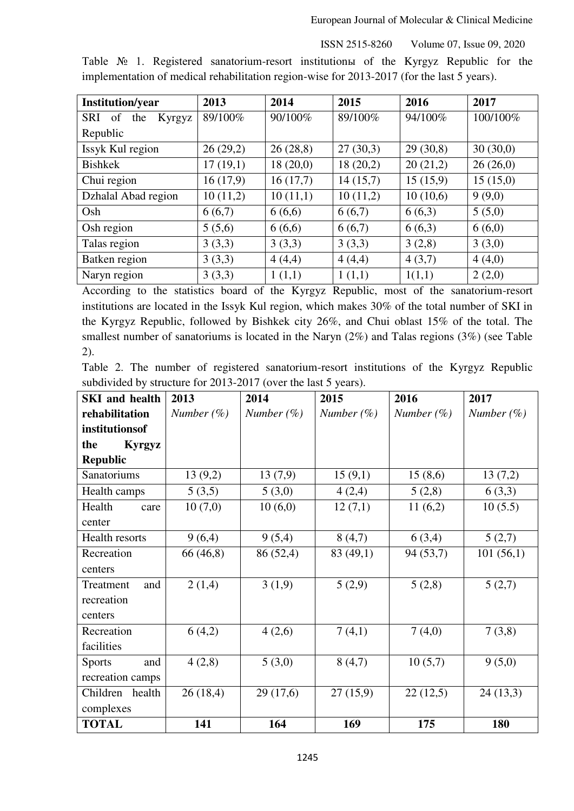European Journal of Molecular & Clinical Medicine

ISSN 2515-8260 Volume 07, Issue 09, 2020

Table № 1. Registered sanatorium-resort institutionы of the Kyrgyz Republic for the implementation of medical rehabilitation region-wise for 2013-2017 (for the last 5 years).

| <b>Institution/year</b>           | 2013     | 2014     | 2015     | 2016     | 2017     |
|-----------------------------------|----------|----------|----------|----------|----------|
| <b>SRI</b><br>of<br>the<br>Kyrgyz | 89/100%  | 90/100%  | 89/100%  | 94/100%  | 100/100% |
| Republic                          |          |          |          |          |          |
| Issyk Kul region                  | 26(29,2) | 26(28,8) | 27(30,3) | 29(30,8) | 30(30,0) |
| <b>Bishkek</b>                    | 17(19,1) | 18(20,0) | 18(20,2) | 20(21,2) | 26(26,0) |
| Chui region                       | 16(17,9) | 16(17,7) | 14(15,7) | 15(15,9) | 15(15,0) |
| Dzhalal Abad region               | 10(11,2) | 10(11,1) | 10(11,2) | 10(10,6) | 9(9,0)   |
| Osh                               | 6(6,7)   | 6(6,6)   | 6(6,7)   | 6(6,3)   | 5(5,0)   |
| Osh region                        | 5(5,6)   | 6(6,6)   | 6(6,7)   | 6(6,3)   | 6(6,0)   |
| Talas region                      | 3(3,3)   | 3(3,3)   | 3(3,3)   | 3(2,8)   | 3(3,0)   |
| Batken region                     | 3(3,3)   | 4(4,4)   | 4(4,4)   | 4(3,7)   | 4(4,0)   |
| Naryn region                      | 3(3,3)   | 1(1,1)   | 1(1,1)   | 1(1,1)   | 2(2,0)   |

According to the statistics board of the Kyrgyz Republic, most of the sanatorium-resort institutions are located in the Issyk Kul region, which makes 30% of the total number of SKI in the Kyrgyz Republic, followed by Bishkek city 26%, and Chui oblast 15% of the total. The smallest number of sanatoriums is located in the Naryn (2%) and Talas regions (3%) (see Table 2).

|  |  |  | Table 2. The number of registered sanatorium-resort institutions of the Kyrgyz Republic |  |  |  |
|--|--|--|-----------------------------------------------------------------------------------------|--|--|--|
|  |  |  | subdivided by structure for 2013-2017 (over the last 5 years).                          |  |  |  |

| <b>SKI</b> and health | 2013          | 2014          | 2015          | 2016           | 2017          |
|-----------------------|---------------|---------------|---------------|----------------|---------------|
| rehabilitation        | Number $(\%)$ | Number $(\%)$ | Number $(\%)$ | Number $(\% )$ | Number $(\%)$ |
| institutionsof        |               |               |               |                |               |
| <b>Kyrgyz</b><br>the  |               |               |               |                |               |
| <b>Republic</b>       |               |               |               |                |               |
| Sanatoriums           | 13(9,2)       | 13(7,9)       | 15(9,1)       | 15(8,6)        | 13(7,2)       |
| Health camps          | 5(3,5)        | 5(3,0)        | 4(2,4)        | 5(2,8)         | 6(3,3)        |
| Health<br>care        | 10(7,0)       | 10(6,0)       | 12(7,1)       | 11(6,2)        | 10(5.5)       |
| center                |               |               |               |                |               |
| Health resorts        | 9(6,4)        | 9(5,4)        | 8(4,7)        | 6(3,4)         | 5(2,7)        |
| Recreation            | 66 (46,8)     | 86 (52,4)     | 83 (49,1)     | 94 (53,7)      | 101(56,1)     |
| centers               |               |               |               |                |               |
| Treatment<br>and      | 2(1,4)        | 3(1,9)        | 5(2,9)        | 5(2,8)         | 5(2,7)        |
| recreation            |               |               |               |                |               |
| centers               |               |               |               |                |               |
| Recreation            | 6(4,2)        | 4(2,6)        | 7(4,1)        | 7(4,0)         | 7(3,8)        |
| facilities            |               |               |               |                |               |
| <b>Sports</b><br>and  | 4(2,8)        | 5(3,0)        | 8(4,7)        | 10(5,7)        | 9(5,0)        |
| recreation camps      |               |               |               |                |               |
| Children<br>health    | 26(18,4)      | 29(17,6)      | 27(15,9)      | 22(12,5)       | 24(13,3)      |
| complexes             |               |               |               |                |               |
| <b>TOTAL</b>          | 141           | 164           | 169           | 175            | 180           |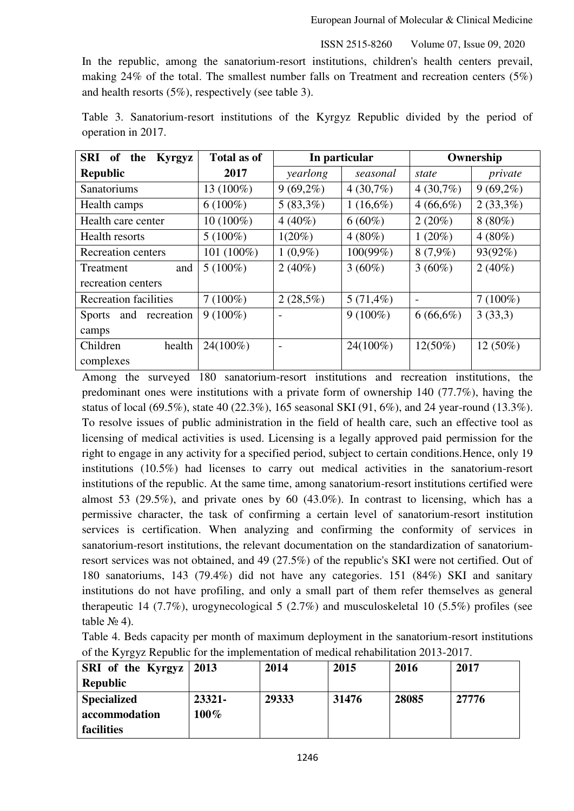In the republic, among the sanatorium-resort institutions, children's health centers prevail, making 24% of the total. The smallest number falls on Treatment and recreation centers (5%) and health resorts (5%), respectively (see table 3).

| SRI<br>the<br>of<br><b>Kyrgyz</b> | <b>Total as of</b> | In particular            |             | Ownership                |             |  |
|-----------------------------------|--------------------|--------------------------|-------------|--------------------------|-------------|--|
| <b>Republic</b>                   | 2017               | yearlong                 | seasonal    | state                    | private     |  |
| <b>Sanatoriums</b>                | 13 (100%)          | $9(69,2\%)$              | $4(30,7\%)$ | $4(30,7\%)$              | $9(69,2\%)$ |  |
| Health camps                      | $6(100\%)$         | $5(83,3\%)$              | $1(16,6\%)$ | $4(66,6\%)$              | $2(33,3\%)$ |  |
| Health care center                | $10(100\%)$        | $4(40\%)$                | $6(60\%)$   | $2(20\%)$                | $8(80\%)$   |  |
| Health resorts                    | $5(100\%)$         | $1(20\%)$                | $4(80\%)$   | $1(20\%)$                | $4(80\%)$   |  |
| <b>Recreation centers</b>         | 101 (100%)         | $1(0,9\%)$               | $100(99\%)$ | $8(7,9\%)$               | 93(92%)     |  |
| and<br>Treatment                  | $5(100\%)$         | $2(40\%)$                | $3(60\%)$   | $3(60\%)$                | $2(40\%)$   |  |
| recreation centers                |                    |                          |             |                          |             |  |
| <b>Recreation facilities</b>      | $7(100\%)$         | $2(28,5\%)$              | $5(71,4\%)$ | $\overline{\phantom{a}}$ | $7(100\%)$  |  |
| and recreation<br><b>Sports</b>   | $9(100\%)$         |                          | $9(100\%)$  | $6(66,6\%)$              | 3(33,3)     |  |
| camps                             |                    |                          |             |                          |             |  |
| Children<br>health                | 24(100%)           | $\overline{\phantom{a}}$ | 24(100%)    | $12(50\%)$               | 12 (50%)    |  |
| complexes                         |                    |                          |             |                          |             |  |

Table 3. Sanatorium-resort institutions of the Kyrgyz Republic divided by the period of operation in 2017.

Among the surveyed 180 sanatorium-resort institutions and recreation institutions, the predominant ones were institutions with a private form of ownership 140 (77.7%), having the status of local (69.5%), state 40 (22.3%), 165 seasonal SKI (91, 6%), and 24 year-round (13.3%). To resolve issues of public administration in the field of health care, such an effective tool as licensing of medical activities is used. Licensing is a legally approved paid permission for the right to engage in any activity for a specified period, subject to certain conditions.Hence, only 19 institutions (10.5%) had licenses to carry out medical activities in the sanatorium-resort institutions of the republic. At the same time, among sanatorium-resort institutions certified were almost 53 (29.5%), and private ones by 60 (43.0%). In contrast to licensing, which has a permissive character, the task of confirming a certain level of sanatorium-resort institution services is certification. When analyzing and confirming the conformity of services in sanatorium-resort institutions, the relevant documentation on the standardization of sanatoriumresort services was not obtained, and 49 (27.5%) of the republic's SKI were not certified. Out of 180 sanatoriums, 143 (79.4%) did not have any categories. 151 (84%) SKI and sanitary institutions do not have profiling, and only a small part of them refer themselves as general therapeutic 14 (7.7%), urogynecological 5 (2.7%) and musculoskeletal 10 (5.5%) profiles (see table  $N_2$  4).

Table 4. Beds capacity per month of maximum deployment in the sanatorium-resort institutions of the Kyrgyz Republic for the implementation of medical rehabilitation 2013-2017.

| SRI of the Kyrgyz $\vert$ 2013 |         | 2014  | 2015  | 2016  | 2017  |
|--------------------------------|---------|-------|-------|-------|-------|
| <b>Republic</b>                |         |       |       |       |       |
| <b>Specialized</b>             | 23321-  | 29333 | 31476 | 28085 | 27776 |
| accommodation                  | $100\%$ |       |       |       |       |
| facilities                     |         |       |       |       |       |

1246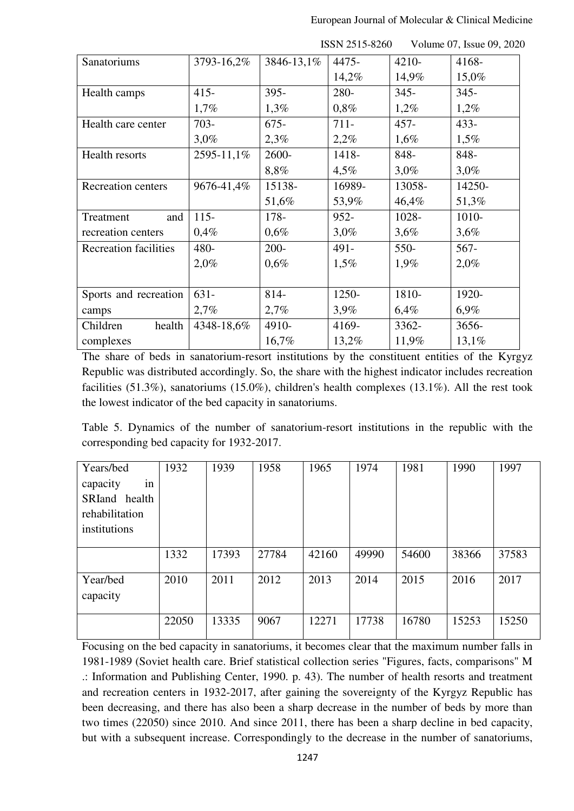|                              |            |            | <b>INNIY 4010-0400</b> |         | $\sqrt{2}$ order $\sqrt{2}$ , issue 02, 202 |
|------------------------------|------------|------------|------------------------|---------|---------------------------------------------|
| Sanatoriums                  | 3793-16,2% | 3846-13,1% | 4475-                  | 4210-   | 4168-                                       |
|                              |            |            | 14,2%                  | 14,9%   | 15,0%                                       |
| Health camps                 | $415 -$    | $395 -$    | 280-                   | $345 -$ | $345 -$                                     |
|                              | 1,7%       | 1,3%       | 0,8%                   | 1,2%    | 1,2%                                        |
| Health care center           | $703 -$    | $675 -$    | $711 -$                | $457 -$ | $433 -$                                     |
|                              | 3,0%       | 2,3%       | 2,2%                   | 1,6%    | 1,5%                                        |
| Health resorts               | 2595-11,1% | 2600-      | 1418-                  | 848-    | 848-                                        |
|                              |            | 8,8%       | 4,5%                   | $3,0\%$ | 3,0%                                        |
| Recreation centers           | 9676-41,4% | 15138-     | 16989-                 | 13058-  | 14250-                                      |
|                              |            | 51,6%      | 53,9%                  | 46,4%   | 51,3%                                       |
| and<br>Treatment             | $115 -$    | 178-       | $952 -$                | 1028-   | 1010-                                       |
| recreation centers           | 0,4%       | 0,6%       | $3,0\%$                | 3,6%    | 3,6%                                        |
| <b>Recreation facilities</b> | 480-       | $200 -$    | 491-                   | $550-$  | $567 -$                                     |
|                              | 2,0%       | 0,6%       | 1,5%                   | 1,9%    | 2,0%                                        |
|                              |            |            |                        |         |                                             |
| Sports and recreation        | $631 -$    | 814-       | 1250-                  | 1810-   | 1920-                                       |
| camps                        | 2,7%       | 2,7%       | 3,9%                   | 6,4%    | 6,9%                                        |
| Children<br>health           | 4348-18,6% | 4910-      | 4169-                  | 3362-   | 3656-                                       |
| complexes                    |            | 16,7%      | 13,2%                  | 11,9%   | 13,1%                                       |

The share of beds in sanatorium-resort institutions by the constituent entities of the Kyrgyz Republic was distributed accordingly. So, the share with the highest indicator includes recreation facilities (51.3%), sanatoriums (15.0%), children's health complexes (13.1%). All the rest took the lowest indicator of the bed capacity in sanatoriums.

Table 5. Dynamics of the number of sanatorium-resort institutions in the republic with the corresponding bed capacity for 1932-2017.

| Years/bed            | 1932  | 1939  | 1958  | 1965  | 1974  | 1981  | 1990  | 1997  |
|----------------------|-------|-------|-------|-------|-------|-------|-------|-------|
| capacity<br>in       |       |       |       |       |       |       |       |       |
| SRIand health        |       |       |       |       |       |       |       |       |
| rehabilitation       |       |       |       |       |       |       |       |       |
| institutions         |       |       |       |       |       |       |       |       |
|                      |       |       |       |       |       |       |       |       |
|                      | 1332  | 17393 | 27784 | 42160 | 49990 | 54600 | 38366 | 37583 |
| Year/bed<br>capacity | 2010  | 2011  | 2012  | 2013  | 2014  | 2015  | 2016  | 2017  |
|                      | 22050 | 13335 | 9067  | 12271 | 17738 | 16780 | 15253 | 15250 |

Focusing on the bed capacity in sanatoriums, it becomes clear that the maximum number falls in 1981-1989 (Soviet health care. Brief statistical collection series "Figures, facts, comparisons" M .: Information and Publishing Center, 1990. p. 43). The number of health resorts and treatment and recreation centers in 1932-2017, after gaining the sovereignty of the Kyrgyz Republic has been decreasing, and there has also been a sharp decrease in the number of beds by more than two times (22050) since 2010. And since 2011, there has been a sharp decline in bed capacity, but with a subsequent increase. Correspondingly to the decrease in the number of sanatoriums,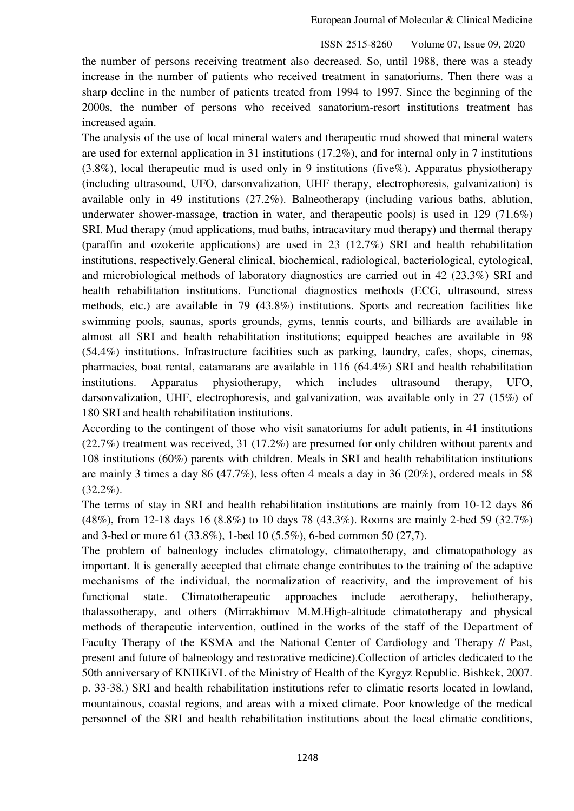European Journal of Molecular & Clinical Medicine

ISSN 2515-8260 Volume 07, Issue 09, 2020

the number of persons receiving treatment also decreased. So, until 1988, there was a steady increase in the number of patients who received treatment in sanatoriums. Then there was a sharp decline in the number of patients treated from 1994 to 1997. Since the beginning of the 2000s, the number of persons who received sanatorium-resort institutions treatment has increased again.

The analysis of the use of local mineral waters and therapeutic mud showed that mineral waters are used for external application in 31 institutions (17.2%), and for internal only in 7 institutions (3.8%), local therapeutic mud is used only in 9 institutions (five%). Apparatus physiotherapy (including ultrasound, UFO, darsonvalization, UHF therapy, electrophoresis, galvanization) is available only in 49 institutions (27.2%). Balneotherapy (including various baths, ablution, underwater shower-massage, traction in water, and therapeutic pools) is used in 129 (71.6%) SRI. Mud therapy (mud applications, mud baths, intracavitary mud therapy) and thermal therapy (paraffin and ozokerite applications) are used in 23 (12.7%) SRI and health rehabilitation institutions, respectively.General clinical, biochemical, radiological, bacteriological, cytological, and microbiological methods of laboratory diagnostics are carried out in 42 (23.3%) SRI and health rehabilitation institutions. Functional diagnostics methods (ECG, ultrasound, stress methods, etc.) are available in 79 (43.8%) institutions. Sports and recreation facilities like swimming pools, saunas, sports grounds, gyms, tennis courts, and billiards are available in almost all SRI and health rehabilitation institutions; equipped beaches are available in 98 (54.4%) institutions. Infrastructure facilities such as parking, laundry, cafes, shops, cinemas, pharmacies, boat rental, catamarans are available in 116 (64.4%) SRI and health rehabilitation institutions. Apparatus physiotherapy, which includes ultrasound therapy, UFO, darsonvalization, UHF, electrophoresis, and galvanization, was available only in 27 (15%) of 180 SRI and health rehabilitation institutions.

According to the contingent of those who visit sanatoriums for adult patients, in 41 institutions (22.7%) treatment was received, 31 (17.2%) are presumed for only children without parents and 108 institutions (60%) parents with children. Meals in SRI and health rehabilitation institutions are mainly 3 times a day 86 (47.7%), less often 4 meals a day in 36 (20%), ordered meals in 58  $(32.2\%)$ .

The terms of stay in SRI and health rehabilitation institutions are mainly from 10-12 days 86 (48%), from 12-18 days 16 (8.8%) to 10 days 78 (43.3%). Rooms are mainly 2-bed 59 (32.7%) and 3-bed or more 61 (33.8%), 1-bed 10 (5.5%), 6-bed common 50 (27,7).

The problem of balneology includes climatology, climatotherapy, and climatopathology as important. It is generally accepted that climate change contributes to the training of the adaptive mechanisms of the individual, the normalization of reactivity, and the improvement of his functional state. Climatotherapeutic approaches include aerotherapy, heliotherapy, thalassotherapy, and others (Mirrakhimov M.M.High-altitude climatotherapy and physical methods of therapeutic intervention, outlined in the works of the staff of the Department of Faculty Therapy of the KSMA and the National Center of Cardiology and Therapy // Past, present and future of balneology and restorative medicine).Collection of articles dedicated to the 50th anniversary of KNIIKiVL of the Ministry of Health of the Kyrgyz Republic. Bishkek, 2007. p. 33-38.) SRI and health rehabilitation institutions refer to climatic resorts located in lowland, mountainous, coastal regions, and areas with a mixed climate. Poor knowledge of the medical personnel of the SRI and health rehabilitation institutions about the local climatic conditions,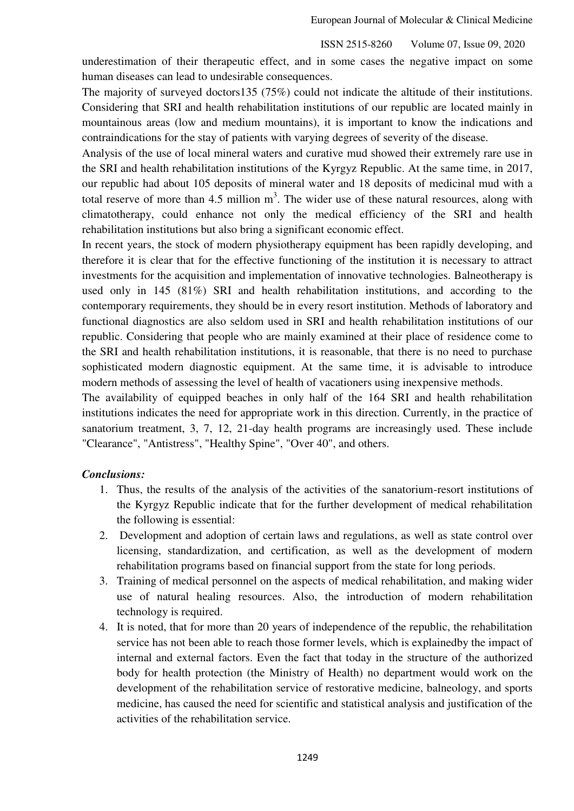underestimation of their therapeutic effect, and in some cases the negative impact on some human diseases can lead to undesirable consequences.

The majority of surveyed doctors135 (75%) could not indicate the altitude of their institutions. Considering that SRI and health rehabilitation institutions of our republic are located mainly in mountainous areas (low and medium mountains), it is important to know the indications and contraindications for the stay of patients with varying degrees of severity of the disease.

Analysis of the use of local mineral waters and curative mud showed their extremely rare use in the SRI and health rehabilitation institutions of the Kyrgyz Republic. At the same time, in 2017, our republic had about 105 deposits of mineral water and 18 deposits of medicinal mud with a total reserve of more than 4.5 million  $m<sup>3</sup>$ . The wider use of these natural resources, along with climatotherapy, could enhance not only the medical efficiency of the SRI and health rehabilitation institutions but also bring a significant economic effect.

In recent years, the stock of modern physiotherapy equipment has been rapidly developing, and therefore it is clear that for the effective functioning of the institution it is necessary to attract investments for the acquisition and implementation of innovative technologies. Balneotherapy is used only in 145 (81%) SRI and health rehabilitation institutions, and according to the contemporary requirements, they should be in every resort institution. Methods of laboratory and functional diagnostics are also seldom used in SRI and health rehabilitation institutions of our republic. Considering that people who are mainly examined at their place of residence come to the SRI and health rehabilitation institutions, it is reasonable, that there is no need to purchase sophisticated modern diagnostic equipment. At the same time, it is advisable to introduce modern methods of assessing the level of health of vacationers using inexpensive methods.

The availability of equipped beaches in only half of the 164 SRI and health rehabilitation institutions indicates the need for appropriate work in this direction. Currently, in the practice of sanatorium treatment, 3, 7, 12, 21-day health programs are increasingly used. These include "Clearance", "Antistress", "Healthy Spine", "Over 40", and others.

# *Conclusions:*

- 1. Thus, the results of the analysis of the activities of the sanatorium-resort institutions of the Kyrgyz Republic indicate that for the further development of medical rehabilitation the following is essential:
- 2. Development and adoption of certain laws and regulations, as well as state control over licensing, standardization, and certification, as well as the development of modern rehabilitation programs based on financial support from the state for long periods.
- 3. Training of medical personnel on the aspects of medical rehabilitation, and making wider use of natural healing resources. Also, the introduction of modern rehabilitation technology is required.
- 4. It is noted, that for more than 20 years of independence of the republic, the rehabilitation service has not been able to reach those former levels, which is explainedby the impact of internal and external factors. Even the fact that today in the structure of the authorized body for health protection (the Ministry of Health) no department would work on the development of the rehabilitation service of restorative medicine, balneology, and sports medicine, has caused the need for scientific and statistical analysis and justification of the activities of the rehabilitation service.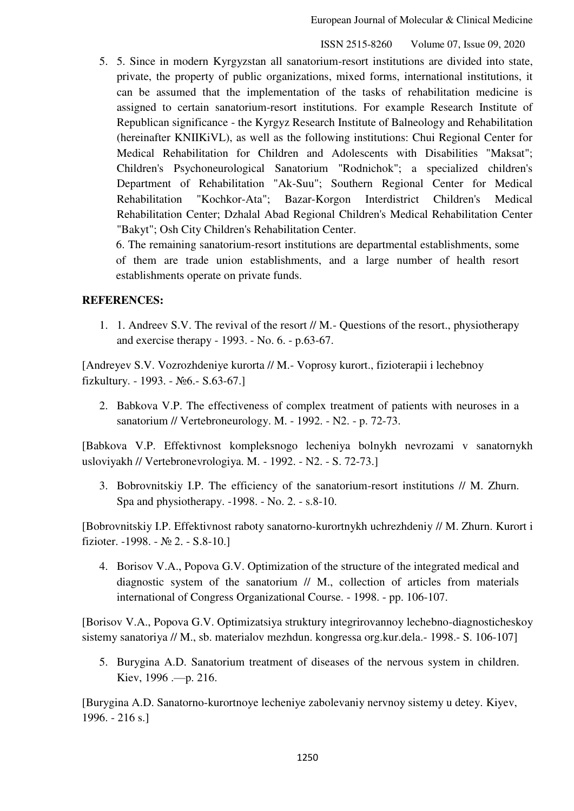5. 5. Since in modern Kyrgyzstan all sanatorium-resort institutions are divided into state, private, the property of public organizations, mixed forms, international institutions, it can be assumed that the implementation of the tasks of rehabilitation medicine is assigned to certain sanatorium-resort institutions. For example Research Institute of Republican significance - the Kyrgyz Research Institute of Balneology and Rehabilitation (hereinafter KNIIKiVL), as well as the following institutions: Chui Regional Center for Medical Rehabilitation for Children and Adolescents with Disabilities "Maksat"; Children's Psychoneurological Sanatorium "Rodnichok"; a specialized children's Department of Rehabilitation "Ak-Suu"; Southern Regional Center for Medical Rehabilitation "Kochkor-Ata"; Bazar-Korgon Interdistrict Children's Medical Rehabilitation Center; Dzhalal Abad Regional Children's Medical Rehabilitation Center "Bakyt"; Osh City Children's Rehabilitation Center.

6. The remaining sanatorium-resort institutions are departmental establishments, some of them are trade union establishments, and a large number of health resort establishments operate on private funds.

## **REFERENCES:**

1. 1. Andreev S.V. The revival of the resort // M.- Questions of the resort., physiotherapy and exercise therapy - 1993. - No. 6. - p.63-67.

[Andreyev S.V. Vozrozhdeniye kurorta // M.- Voprosy kurort., fizioterapii i lechebnoy fizkultury. - 1993. - №6.- S.63-67.]

2. Babkova V.P. The effectiveness of complex treatment of patients with neuroses in a sanatorium // Vertebroneurology. M. - 1992. - N2. - p. 72-73.

[Babkova V.P. Effektivnost kompleksnogo lecheniya bolnykh nevrozami v sanatornykh usloviyakh // Vertebronevrologiya. M. - 1992. - N2. - S. 72-73.]

3. Bobrovnitskiy I.P. The efficiency of the sanatorium-resort institutions // M. Zhurn. Spa and physiotherapy. -1998. - No. 2. - s.8-10.

[Bobrovnitskiy I.P. Effektivnost raboty sanatorno-kurortnykh uchrezhdeniy // M. Zhurn. Kurort i fizioter. -1998. - № 2. - S.8-10.]

4. Borisov V.A., Popova G.V. Optimization of the structure of the integrated medical and diagnostic system of the sanatorium // M., collection of articles from materials international of Congress Organizational Course. - 1998. - pp. 106-107.

[Borisov V.A., Popova G.V. Optimizatsiya struktury integrirovannoy lechebno-diagnosticheskoy sistemy sanatoriya // M., sb. materialov mezhdun. kongressa org.kur.dela.- 1998.- S. 106-107]

5. Burygina A.D. Sanatorium treatment of diseases of the nervous system in children. Kiev, 1996 .—p. 216.

[Burygina A.D. Sanatorno-kurortnoye lecheniye zabolevaniy nervnoy sistemy u detey. Kiyev, 1996. - 216 s.]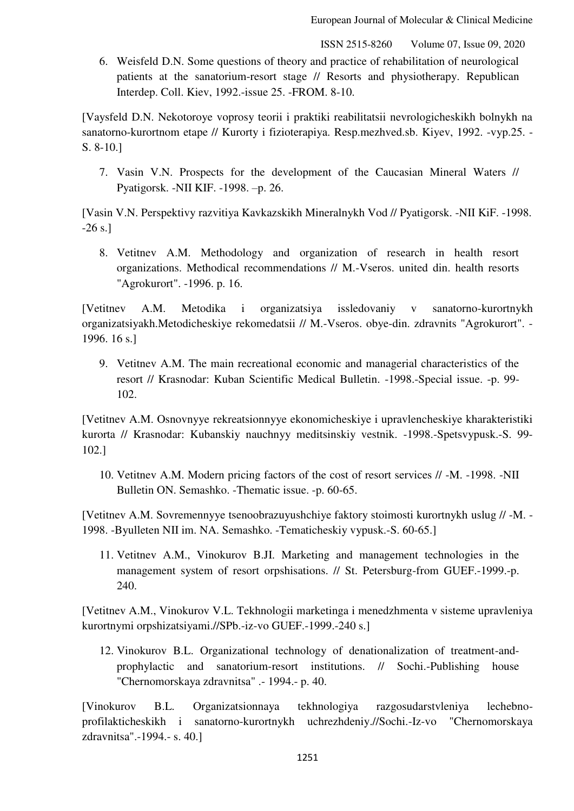6. Weisfeld D.N. Some questions of theory and practice of rehabilitation of neurological patients at the sanatorium-resort stage // Resorts and physiotherapy. Republican Interdep. Coll. Kiev, 1992.-issue 25. -FROM. 8-10.

[Vaysfeld D.N. Nekotoroye voprosy teorii i praktiki reabilitatsii nevrologicheskikh bolnykh na sanatorno-kurortnom etape // Kurorty i fizioterapiya. Resp.mezhved.sb. Kiyev, 1992. -vyp.25. -S. 8-10.]

7. Vasin V.N. Prospects for the development of the Caucasian Mineral Waters // Pyatigorsk. -NII KIF. -1998. –p. 26.

[Vasin V.N. Perspektivy razvitiya Kavkazskikh Mineralnykh Vod // Pyatigorsk. -NII KiF. -1998.  $-26$  s.

8. Vetitnev A.M. Methodology and organization of research in health resort organizations. Methodical recommendations // M.-Vseros. united din. health resorts "Agrokurort". -1996. p. 16.

[Vetitnev A.M. Metodika i organizatsiya issledovaniy v sanatorno-kurortnykh organizatsiyakh.Metodicheskiye rekomedatsii // M.-Vseros. obye-din. zdravnits "Agrokurort". - 1996. 16 s.]

9. Vetitnev A.M. The main recreational economic and managerial characteristics of the resort // Krasnodar: Kuban Scientific Medical Bulletin. -1998.-Special issue. -p. 99- 102.

[Vetitnev A.M. Osnovnyye rekreatsionnyye ekonomicheskiye i upravlencheskiye kharakteristiki kurorta // Krasnodar: Kubanskiy nauchnyy meditsinskiy vestnik. -1998.-Spetsvypusk.-S. 99- 102.]

10. Vetitnev A.M. Modern pricing factors of the cost of resort services // -M. -1998. -NII Bulletin ON. Semashko. -Thematic issue. -p. 60-65.

[Vetitnev A.M. Sovremennyye tsenoobrazuyushchiye faktory stoimosti kurortnykh uslug // -M. - 1998. -Byulleten NII im. NA. Semashko. -Tematicheskiy vypusk.-S. 60-65.]

11. Vetitnev A.M., Vinokurov B.JI. Marketing and management technologies in the management system of resort orpshisations. // St. Petersburg-from GUEF.-1999.-p. 240.

[Vetitnev A.M., Vinokurov V.L. Tekhnologii marketinga i menedzhmenta v sisteme upravleniya kurortnymi orpshizatsiyami.//SPb.-iz-vo GUEF.-1999.-240 s.]

12. Vinokurov B.L. Organizational technology of denationalization of treatment-andprophylactic and sanatorium-resort institutions. // Sochi.-Publishing house "Chernomorskaya zdravnitsa" .- 1994.- p. 40.

[Vinokurov B.L. Organizatsionnaya tekhnologiya razgosudarstvleniya lechebnoprofilakticheskikh i sanatorno-kurortnykh uchrezhdeniy.//Sochi.-Iz-vo "Chernomorskaya zdravnitsa".-1994.- s. 40.]